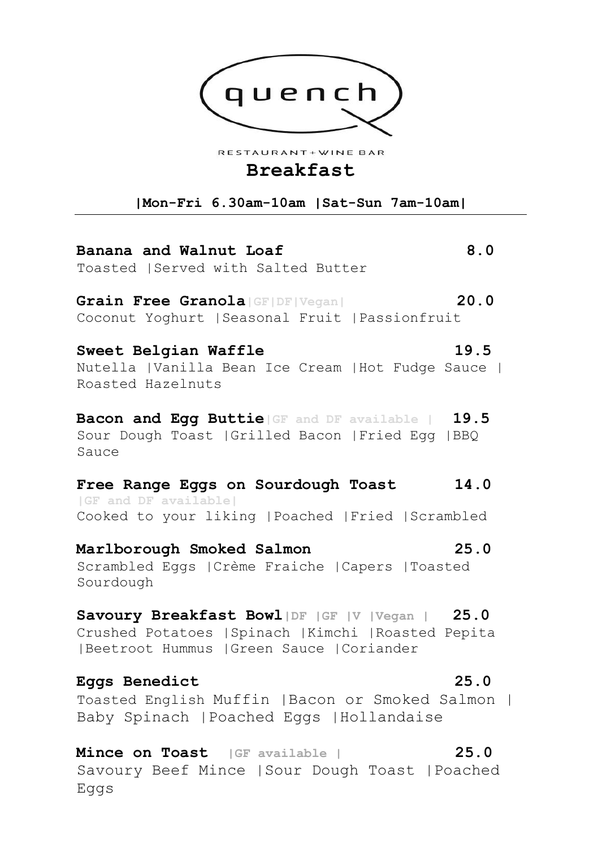

RESTAURANT + WINE BAR

## **Breakfast**

**|Mon-Fri 6.30am-10am |Sat-Sun 7am-10am|**

**Banana and Walnut Loaf 8.0**  Toasted |Served with Salted Butter

**Grain Free Granola|GF|DF|Vegan| 20.0**  Coconut Yoghurt |Seasonal Fruit |Passionfruit

**Sweet Belgian Waffle 19.5**  Nutella |Vanilla Bean Ice Cream |Hot Fudge Sauce | Roasted Hazelnuts

**Bacon and Egg Buttie|GF and DF available | 19.5** Sour Dough Toast |Grilled Bacon |Fried Egg |BBQ Sauce

### **Free Range Eggs on Sourdough Toast 14.0 |GF and DF available|**

Cooked to your liking |Poached |Fried |Scrambled

**Marlborough Smoked Salmon 25.0**  Scrambled Eggs |Crème Fraiche |Capers |Toasted Sourdough

**Savoury Breakfast Bowl|DF |GF |V |Vegan | 25.0** Crushed Potatoes |Spinach |Kimchi |Roasted Pepita |Beetroot Hummus |Green Sauce |Coriander

## **Eggs Benedict 25.0**

Toasted English Muffin |Bacon or Smoked Salmon | Baby Spinach |Poached Eggs |Hollandaise

**Mince on Toast |GF available | 25.0** Savoury Beef Mince |Sour Dough Toast |Poached Eggs